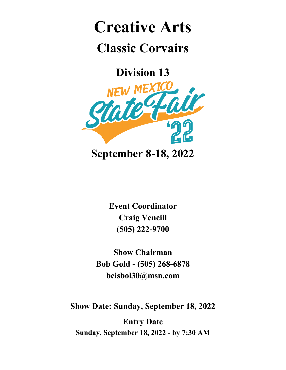## **Creative Arts Classic Corvairs**

**Division 13**



**Event Coordinator Craig Vencill (505) 222-9700**

**Show Chairman Bob Gold - (505) 268-6878 beisbol30@msn.com**

**Show Date: Sunday, September 18, 2022**

**Entry Date Sunday, September 18, 2022 - by 7:30 AM**